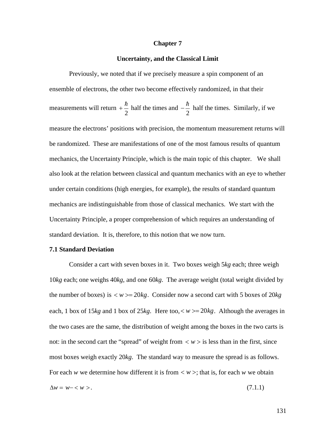#### **Chapter 7**

#### **Uncertainty, and the Classical Limit**

Previously, we noted that if we precisely measure a spin component of an ensemble of electrons, the other two become effectively randomized, in that their measurements will return 2  $2$  $+\frac{\hbar}{2}$  half the times and  $-\frac{\hbar}{2}$  half the times. 2 a *2* a *2* a *2* a *2* a *2* a *2* a *2* a *2* a *2* a *2* a *2* a *2* a *2* a *2*  $-\frac{\hbar}{2}$  half the times. Similarly, if we measure the electrons' positions with precision, the momentum measurement returns will be randomized. These are manifestations of one of the most famous results of quantum mechanics, the Uncertainty Principle, which is the main topic of this chapter. We shall also look at the relation between classical and quantum mechanics with an eye to whether under certain conditions (high energies, for example), the results of standard quantum mechanics are indistinguishable from those of classical mechanics. We start with the Uncertainty Principle, a proper comprehension of which requires an understanding of standard deviation. It is, therefore, to this notion that we now turn.

### **7.1 Standard Deviation**

Consider a cart with seven boxes in it. Two boxes weigh 5*kg* each; three weigh 10*kg* each; one weighs 40*kg*, and one 60*kg*. The average weight (total weight divided by the number of boxes) is  $\langle w \rangle = 20kg$ . Consider now a second cart with 5 boxes of 20*kg* the two cases are the same, the distribution of weight among the boxes in the two carts is each, 1 box of 15 $kg$  and 1 box of 25 $kg$ . Here too,  $\lt w \gt \lt 20 kg$ . Although the averages in not: in the second cart the "spread" of weight from  $\langle w \rangle$  is less than in the first, since most boxes weigh exactly 20*kg*. The standard way to measure the spread is as follows. For each *w* we determine how different it is from  $\langle w \rangle$ ; that is, for each *w* we obtain  $\Delta w = w - \langle w \rangle$ . (7.1.1)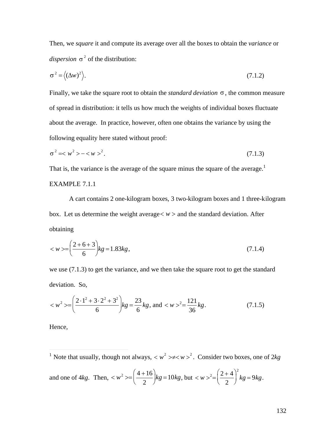Then, we square it and compute its average over all the boxes to obtain the variance or dispersion  $\sigma^2$  of the distribution:

$$
\sigma^2 = \langle (\Delta w)^2 \rangle. \tag{7.1.2}
$$

Finally, we take the square root to obtain the *standard deviation*  $\sigma$ , the common measure of spread in distribution: it tells us how much the weights of individual boxes fluctuate about the average. In practice, however, often one obtains the variance by using the following equality here stated without proof:

$$
\sigma^2 = \langle w^2 \rangle - \langle w \rangle^2. \tag{7.1.3}
$$

That is, the variance is the average of the square minus the square of the average.<sup>1</sup>

# **EXAMPLE 7.1.1**

A cart contains 2 one-kilogram boxes, 3 two-kilogram boxes and 1 three-kilogram box. Let us determine the weight average  $\langle w \rangle$  and the standard deviation. After obtaining

$$
\langle w \rangle = \left(\frac{2+6+3}{6}\right)kg = 1.83kg\,,\tag{7.1.4}
$$

we use  $(7.1.3)$  to get the variance, and we then take the square root to get the standard deviation. So,

$$
= \left(\frac{2 \cdot 1^2 + 3 \cdot 2^2 + 3^2}{6}\right) kg = \frac{23}{6} kg
$$
, and  $^2 = \frac{121}{36} kg$ . (7.1.5)

Hence,

<sup>1</sup> Note that usually, though not always,  $\langle w^2 \rangle \neq \langle w \rangle^2$ . Consider two boxes, one of 2kg

and one of 4*kg*. Then, 
$$
\langle w^2 \rangle = \left(\frac{4+16}{2}\right)kg = 10kg
$$
, but  $\langle w \rangle^2 = \left(\frac{2+4}{2}\right)^2 kg = 9kg$ .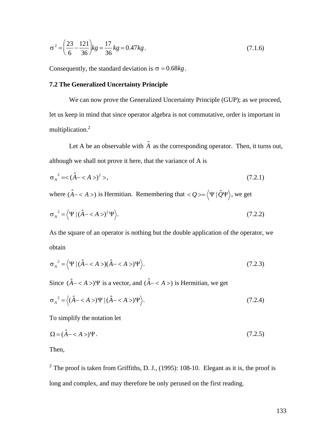$$
\sigma^2 = \left(\frac{23}{6} - \frac{121}{36}\right)kg = \frac{17}{36}kg = 0.47kg.
$$
\n(7.1.6)

Consequently, the standard deviation is  $\sigma = 0.68kg$ .

# **7.2 The Generalized Uncertainty Principle**

We can now prove the Generalized Uncertainty Principle (GUP); as we proceed, let us keep in mind that since operator algebra is not commutative, order is important in multiplication.<sup>2</sup>

Let A be an observable with  $\hat{A}$  as the corresponding operator. Then, it turns out, although we shall not prove it here, that the variance of A is

$$
\sigma_A^2 = \langle (\hat{A} - \langle A \rangle)^2 \rangle, \tag{7.2.1}
$$

where  $(\hat{A} - \langle A \rangle)$  is Hermitian. Remembering that  $\langle Q \rangle = \langle \Psi | \hat{Q} \Psi \rangle$ , we get

$$
\sigma_A^2 = \langle \Psi | (\hat{A} - \langle A \rangle)^2 \Psi \rangle. \tag{7.2.2}
$$

As the square of an operator is nothing but the double application of the operator, we obtain

$$
\sigma_A^2 = \langle \Psi | (\hat{A} - \langle A \rangle)(\hat{A} - \langle A \rangle) \Psi \rangle. \tag{7.2.3}
$$

Since  $(\hat{A} - \langle A \rangle) \Psi$  is a vector, and  $(\hat{A} - \langle A \rangle)$  is Hermitian, we get

$$
\sigma_A^2 = \left\langle (\hat{A} - \langle A \rangle) \Psi | (\hat{A} - \langle A \rangle) \Psi \right\rangle. \tag{7.2.4}
$$

To simplify the notation let

$$
\Omega = (\hat{A} - \langle A \rangle)\Psi. \tag{7.2.5}
$$

Then,

<sup>2</sup> The proof is taken from Griffiths, D. J., (1995): 108-10. Elegant as it is, the proof is long and complex, and may therefore be only perused on the first reading.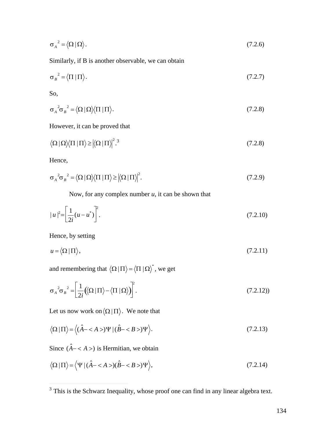$$
\sigma_A^2 = \langle \Omega | \Omega \rangle. \tag{7.2.6}
$$

Similarly, if B is another observable, we can obtain

 $\sim$ 

$$
\sigma_B^2 = \langle \Pi | \Pi \rangle. \tag{7.2.7}
$$

So,

$$
\sigma_A^2 \sigma_B^2 = \langle \Omega | \Omega \rangle \langle \Pi | \Pi \rangle. \tag{7.2.8}
$$

However, it can be proved that

Hence,

$$
\sigma_A^2 \sigma_B^2 = \langle \Omega | \Omega \rangle \langle \Pi | \Pi \rangle \geq \left| \langle \Omega | \Pi \rangle \right|^2. \tag{7.2.9}
$$

Now, for any complex number  $u$ , it can be shown that

$$
|u|^2 = \left[\frac{1}{2i}(u - u^*)\right]^2.
$$
\n(7.2.10)

Hence, by setting

$$
u = \langle \Omega | \Pi \rangle, \tag{7.2.11}
$$

and remembering that  $\langle \Omega | \Pi \rangle = \langle \Pi | \Omega \rangle^*$ , we get

$$
\sigma_A^2 \sigma_B^2 = \left[ \frac{1}{2i} \left( \langle \Omega | \Pi \rangle - \langle \Pi | \Omega \rangle \right) \right]^2. \tag{7.2.12}
$$

Let us now work on  $\langle \Omega | \Pi \rangle$ . We note that

$$
\langle \Omega \mid \Pi \rangle = \langle (\hat{A} - \langle A \rangle) \Psi \mid (\hat{B} - \langle B \rangle) \Psi \rangle. \tag{7.2.13}
$$

Since  $(\hat{A} - \langle A \rangle)$  is Hermitian, we obtain

$$
\langle \Omega | \Pi \rangle = \langle \Psi | (\hat{A} - \langle A \rangle)(\hat{B} - \langle B \rangle) \Psi \rangle, \tag{7.2.14}
$$

 $\frac{1}{3}$  This is the Schwarz Inequality, whose proof one can find in any linear algebra text.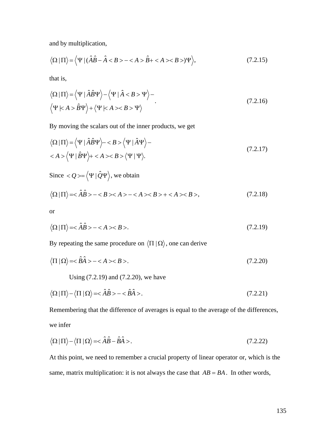and by multiplication,

$$
\langle \Omega \mid \Pi \rangle = \langle \Psi \mid (\hat{A}\hat{B} - \hat{A} < B > - < A > \hat{B} + < A > < B >) \Psi \rangle,\tag{7.2.15}
$$

that is,

$$
\langle \Omega | \Pi \rangle = \langle \Psi | \hat{A} \hat{B} \Psi \rangle - \langle \Psi | \hat{A} < B > \Psi \rangle -
$$
\n
$$
\langle \Psi | \langle A \rangle = \hat{B} \Psi \rangle + \langle \Psi | \langle A \rangle < B > \Psi \rangle \tag{7.2.16}
$$

By moving the scalars out of the inner products, we get

$$
\langle \Omega | \Pi \rangle = \langle \Psi | \hat{A} \hat{B} \Psi \rangle - \langle \Psi | \hat{A} \Psi \rangle - \langle \Psi | \hat{B} \Psi \rangle + B > \langle \Psi | \Psi \rangle.
$$
\n(7.2.17)

Since  $\langle Q \rangle = \langle \Psi | \hat{Q} \Psi \rangle$ , we obtain

$$
\langle \Omega | \Pi \rangle = \langle \hat{A}\hat{B} \rangle - \langle B \rangle \langle A \rangle - \langle A \rangle \langle B \rangle + \langle A \rangle \langle B \rangle, \tag{7.2.18}
$$

or

$$
\langle \Omega | \Pi \rangle = \langle \hat{A}\hat{B} \rangle - \langle A \rangle \langle B \rangle. \tag{7.2.19}
$$

By repeating the same procedure on  $\langle \Pi | \Omega \rangle$ , one can derive

$$
\langle \Pi | \Omega \rangle = \hat{B} \hat{A} > -\langle A \rangle \langle B \rangle. \tag{7.2.20}
$$

 $\sqrt{2}$ Using (7.2.19) and (7.2.20), we have

$$
\langle \Omega | \Pi \rangle - \langle \Pi | \Omega \rangle = \langle \hat{A} \hat{B} \rangle - \langle \hat{B} \hat{A} \rangle. \tag{7.2.21}
$$

Remembering that the difference of averages is equal to the average of the differences, we infer

$$
\langle \Omega | \Pi \rangle - \langle \Pi | \Omega \rangle = \langle \hat{A} \hat{B} - \hat{B} \hat{A} \rangle. \tag{7.2.22}
$$

At this point, we need to remember a crucial property of linear operator or, which is the same, matrix multiplication: it is not always the case that  $AB = BA$ . In other words,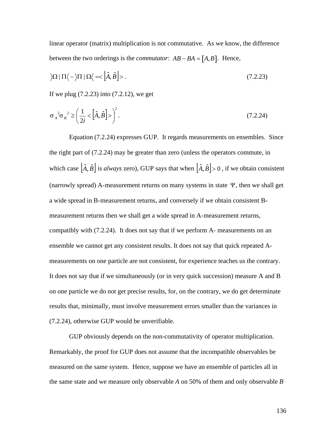linear operator (matrix) multiplication is not commutative. As we know, the difference between the two orderings is the *commutator*:  $AB - BA = [A, B]$ . Hence,

$$
\left| \Omega \right| \Pi \left\langle -\left| \Pi \right| \Omega \right\langle = \left| \hat{A}, \hat{B} \right| \right\rangle. \tag{7.2.23}
$$

If we plug (7.2.23) into (7.2.12), we get

$$
\sigma_A^2 \sigma_B^2 \ge \left(\frac{1}{2i} \left\langle \hat{A}, \hat{B} \right] \right\rangle^2. \tag{7.2.24}
$$

Equation (7.2.24) expresses GUP. It regards measurements on ensembles. Since the right part of (7.2.24) may be greater than zero (unless the operators commute, in which case  $|\hat{A}, \hat{B}|$  is *always* zero), GUP says that when  $|\hat{A}, \hat{B}| > 0$ , if we obtain consistent (narrowly spread) A-measurement returns on many systems in state  $\Psi$ , then we shall get a wide spread in B-measurement returns, and conversely if we obtain consistent Bmeasurement returns then we shall get a wide spread in A-measurement returns, compatibly with (7.2.24). It does not say that if we perform A- measurements on an ensemble we cannot get any consistent results. It does not say that quick repeated Ameasurements on one particle are not consistent, for experience teaches us the contrary. It does not say that if we simultaneously (or in very quick succession) measure A and B on one particle we do not get precise results, for, on the contrary, we do get determinate results that, minimally, must involve measurement errors smaller than the variances in (7.2.24), otherwise GUP would be unverifiable.

GUP obviously depends on the non-commutativity of operator multiplication. Remarkably, the proof for GUP does not assume that the incompatible observables be measured on the same system. Hence, suppose we have an ensemble of particles all in the same state and we measure only observable *A* on 50% of them and only observable *B*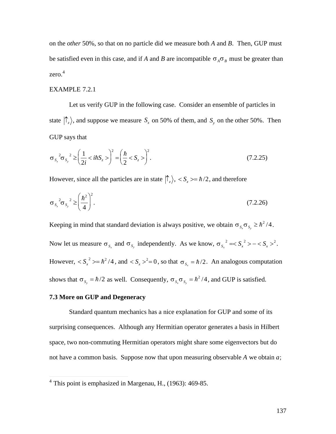on the *other* 50%, so that on no particle did we measure both  $A$  and  $B$ . Then, GUP must be satisfied even in this case, and if A and B are incompatible  $\sigma_A \sigma_B$  must be greater than  $zero.<sup>4</sup>$ 

### **EXAMPLE 7.2.1**

Let us verify GUP in the following case. Consider an ensemble of particles in state  $|\uparrow_z\rangle$ , and suppose we measure  $S_x$  on 50% of them, and  $S_y$  on the other 50%. Then GUP says that

$$
\sigma_{S_x}^2 \sigma_{S_y}^2 \ge \left(\frac{1}{2i} < i\hbar S_z \right)^2 = \left(\frac{\hbar}{2} < S_z \right)^2. \tag{7.2.25}
$$

However, since all the particles are in state  $|\hat{\Gamma}_z\rangle$ , <  $S_z \gg \hbar/2$ , and therefore

$$
\sigma_{s_x}^2 \sigma_{s_y}^2 \ge \left(\frac{\hbar^2}{4}\right)^2. \tag{7.2.26}
$$

Keeping in mind that standard deviation is always positive, we obtain  $\sigma_{s,\sigma_{s_\circ}} \geq \hbar^2/4$ . Now let us measure  $\sigma_{s_x}$  and  $\sigma_{s_y}$  independently. As we know,  $\sigma_{s_x}^2 = < S_x^2 > - < S_x >^2$ . However,  $\langle S_x^2 \rangle = \hbar^2/4$ , and  $\langle S_x \rangle^2 = 0$ , so that  $\sigma_{S_x} = \hbar/2$ . An analogous computation shows that  $\sigma_{s_y} = \hbar/2$  as well. Consequently,  $\sigma_{s_x} \sigma_{s_y} = \hbar^2/4$ , and GUP is satisfied.

#### 7.3 More on GUP and Degeneracy

Standard quantum mechanics has a nice explanation for GUP and some of its surprising consequences. Although any Hermitian operator generates a basis in Hilbert space, two non-commuting Hermitian operators might share some eigenvectors but do not have a common basis. Suppose now that upon measuring observable  $A$  we obtain  $a$ ;

 $4$  This point is emphasized in Margenau, H., (1963): 469-85.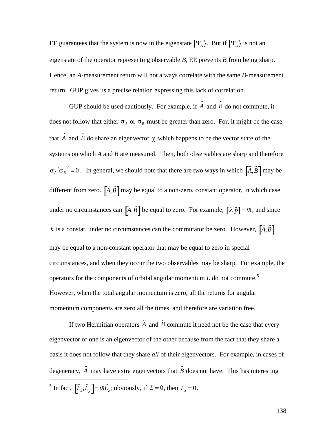EE guarantees that the system is now in the eigenstate  $|\Psi_A\rangle$ . But if  $|\Psi_A\rangle$  is not an Hence, an *A*-measurement return will not always correlate with the same *B*-measurement eigenstate of the operator representing observable *B*, EE prevents *B* from being sharp. return. GUP gives us a precise relation expressing this lack of correlation.

GUP should be used cautiously. For example, if  $\hat{A}$  and  $\hat{B}$  do not commute, it does not follow that either  $\sigma_A$  or  $\sigma_B$  must be greater than zero. For, it might be the case that  $\hat{A}$  and  $\hat{B}$  do share an eigenvector  $\chi$  which happens to be the vector state of the systems on which *A* and *B* are measured. Then, both observables are sharp and therefore  $\sigma_A^2 \sigma_B^2 = 0$ . In general, we should note that there are two ways in which  $\left[\hat{A}, \hat{B}\right]$  may be different from zero.  $\left[\hat{A}, \hat{B}\right]$  may be equal to a non-zero, constant operator, in which case under no circumstances can  $\left[\hat{A}, \hat{B}\right]$  be equal to zero. For example,  $\left[\hat{x}, \hat{p}\right] = i\hbar$ , and since h is a constat, under no circumstances can the commutator be zero. However,  $\left[\hat{A}, \hat{B}\right]$ † circumstances, and when they occur the two observables may be sharp. For example, the may be equal to a non-constant operator that may be equal to zero in special operators for the components of orbital angular momentum  $L$  do not commute.<sup>5</sup> However, when the total angular momentum is zero, all the returns for angular momentum components are zero all the times, and therefore are variation free.

If two Hermitian operators  $\hat{A}$  and  $\hat{B}$  commute it need not be the case that every eigenvector of one is an eigenvector of the other because from the fact that they share a basis it does not follow that they share *all* of their eigenvectors. For example, in cases of degeneracy,  $\hat{A}$  may have extra eigenvectors that  $\hat{B}$  does not have. This has interesting  $\overline{a}$ <sup>5</sup> In fact,  $[\hat{L}_x, \hat{L}_y] = i\hbar \hat{L}_z$ ; obviously, if  $L = 0$ , then  $L_z = 0$ .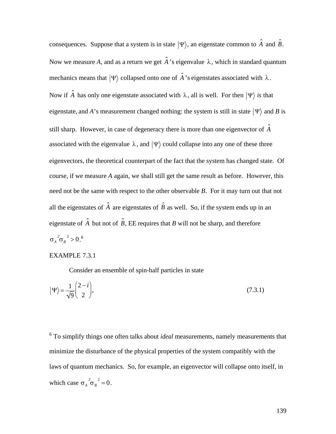consequences. Suppose that a system is in state  $|\Psi\rangle$ , an eigenstate common to  $\hat{A}$  and  $\hat{B}$ . Now we measure A, and as a return we get  $\hat{A}$ 's eigenvalue  $\lambda$ , which in standard quantum mechanics means that  $|\Psi\rangle$  collapsed onto one of  $\hat{A}$ 's eigenstates associated with  $\lambda$ . Now if  $\hat{A}$  has only one eigenstate associated with  $\lambda$ , all is well. For then  $|\Psi\rangle$  is that eigenstate, and A's measurement changed nothing: the system is still in state  $|\Psi\rangle$  and B is still sharp. However, in case of degeneracy there is more than one eigenvector of  $\hat{A}$ associated with the eigenvalue  $\lambda$ , and  $|\Psi\rangle$  could collapse into any one of these three eigenvectors, the theoretical counterpart of the fact that the system has changed state. Of course, if we measure A again, we shall still get the same result as before. However, this need not be the same with respect to the other observable  $B$ . For it may turn out that not all the eigenstates of  $\hat{A}$  are eigenstates of  $\hat{B}$  as well. So, if the system ends up in an eigenstate of  $\hat{A}$  but not of  $\hat{B}$ , EE requires that B will not be sharp, and therefore  $\sigma_A^2 \sigma_B^2 > 0.^6$ 

### **EXAMPLE 7.3.1**

Consider an ensemble of spin-half particles in state

$$
|\Psi\rangle = \frac{1}{\sqrt{9}} \begin{pmatrix} 2 - i \\ 2 \end{pmatrix},\tag{7.3.1}
$$

 $6$  To simplify things one often talks about *ideal* measurements, namely measurements that minimize the disturbance of the physical properties of the system compatibly with the laws of quantum mechanics. So, for example, an eigenvector will collapse onto itself, in which case  $\sigma_A^2 \sigma_B^2 = 0$ .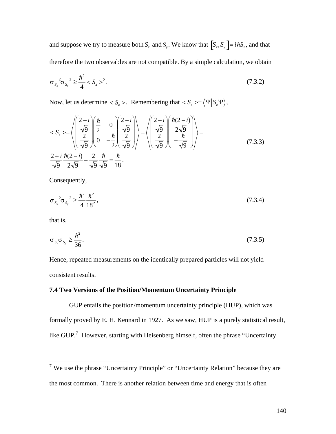and suppose we try to measure both  $S_x$  and  $S_y$ . We know that  $[S_x, S_y] = i\hbar S_z$ , and that therefore the two observables are not compatible. By a simple calculation, we obtain

$$
\sigma_{S_x}^2 \sigma_{S_y}^2 \ge \frac{\hbar^2}{4} < S_z >^2. \tag{7.3.2}
$$

Now, let us determine <  $S_z$  >. Remembering that <  $S_z$  >= $\langle \Psi | S_z \Psi \rangle$ ,

$$
\langle S_z \rangle = \left\langle \left( \frac{\frac{2-i}{\sqrt{9}}}{\frac{2}{\sqrt{9}}} \right) \left( \frac{\hbar}{2} - \frac{\hbar}{2} \right) \left( \frac{2-i}{\sqrt{9}} \right) \right\rangle = \left\langle \left( \frac{\frac{2-i}{\sqrt{9}}}{\frac{2}{\sqrt{9}}} \right) \left( \frac{\hbar(2-i)}{2\sqrt{9}} \right) \right\rangle = \frac{2+i}{\sqrt{9}} \frac{\hbar(2-i)}{2\sqrt{9}} - \frac{2}{\sqrt{9}} \frac{\hbar}{\sqrt{9}} = \frac{\hbar}{18}.
$$
\n(7.3.3)

Consequently,

$$
\sigma_{s_x}^2 \sigma_{s_y}^2 \ge \frac{\hbar^2}{4} \frac{\hbar^2}{18^2},\tag{7.3.4}
$$

that is,

$$
\sigma_{s_x}\sigma_{s_y} \ge \frac{\hbar^2}{36}.\tag{7.3.5}
$$

Hence, repeated measurements on the identically prepared particles will not yield consistent results.

# 7.4 Two Versions of the Position/Momentum Uncertainty Principle

GUP entails the position/momentum uncertainty principle (HUP), which was formally proved by E. H. Kennard in 1927. As we saw, HUP is a purely statistical result, like GUP.<sup>7</sup> However, starting with Heisenberg himself, often the phrase "Uncertainty

 $\frac{1}{7}$  We use the phrase "Uncertainty Principle" or "Uncertainty Relation" because they are the most common. There is another relation between time and energy that is often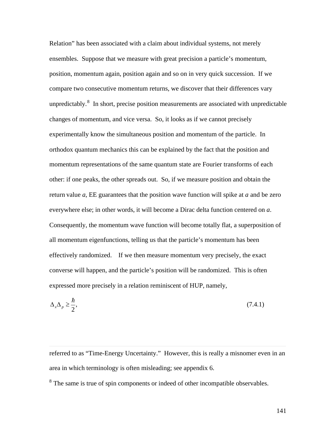Relation" has been associated with a claim about individual systems, not merely ensembles. Suppose that we measure with great precision a particle's momentum, position, momentum again, position again and so on in very quick succession. If we compare two consecutive momentum returns, we discover that their differences vary unpredictably.<sup>8</sup> In short, precise position measurements are associated with unpredictable changes of momentum, and vice versa. So, it looks as if we cannot precisely experimentally know the simultaneous position and momentum of the particle. In orthodox quantum mechanics this can be explained by the fact that the position and momentum representations of the same quantum state are Fourier transforms of each other: if one peaks, the other spreads out. So, if we measure position and obtain the return value *a*, EE guarantees that the position wave function will spike at *a* and be zero everywhere else; in other words, it will become a Dirac delta function centered on *a*. Consequently, the momentum wave function will become totally flat, a superposition of all momentum eigenfunctions, telling us that the particle's momentum has been effectively randomized. If we then measure momentum very precisely, the exact converse will happen, and the particle's position will be randomized. This is often expressed more precisely in a relation reminiscent of HUP, namely,

$$
\Delta_x \Delta_p \ge \frac{\hbar}{2},\tag{7.4.1}
$$

 $\overline{a}$ 

referred to as "Time-Energy Uncertainty." However, this is really a misnomer even in an area in which terminology is often misleading; see appendix 6.

<sup>8</sup> The same is true of spin components or indeed of other incompatible observables.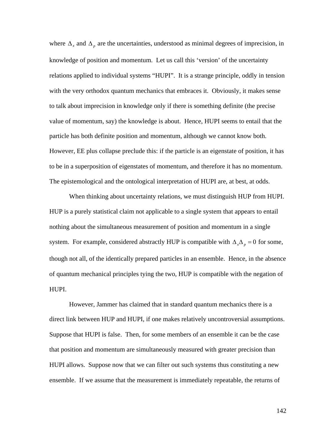where  $\Delta_x$  and  $\Delta_p$  are the uncertainties, understood as minimal degrees of imprecision, in relations applied to individual systems "HUPI". It is a strange principle, oddly in tension knowledge of position and momentum. Let us call this 'version' of the uncertainty with the very orthodox quantum mechanics that embraces it. Obviously, it makes sense to talk about imprecision in knowledge only if there is something definite (the precise value of momentum, say) the knowledge is about. Hence, HUPI seems to entail that the particle has both definite position and momentum, although we cannot know both. However, EE plus collapse preclude this: if the particle is an eigenstate of position, it has to be in a superposition of eigenstates of momentum, and therefore it has no momentum. The epistemological and the ontological interpretation of HUPI are, at best, at odds.

When thinking about uncertainty relations, we must distinguish HUP from HUPI. HUP is a purely statistical claim not applicable to a single system that appears to entail nothing about the simultaneous measurement of position and momentum in a single system. For example, considered abstractly HUP is compatible with  $\Delta_{x} \Delta_{p} = 0$  for some, of quantum mechanical principles tying the two, HUP is compatible with the negation of though not all, of the identically prepared particles in an ensemble. Hence, in the absence HUPI.

However, Jammer has claimed that in standard quantum mechanics there is a direct link between HUP and HUPI, if one makes relatively uncontroversial assumptions. Suppose that HUPI is false. Then, for some members of an ensemble it can be the case that position and momentum are simultaneously measured with greater precision than HUPI allows. Suppose now that we can filter out such systems thus constituting a new ensemble. If we assume that the measurement is immediately repeatable, the returns of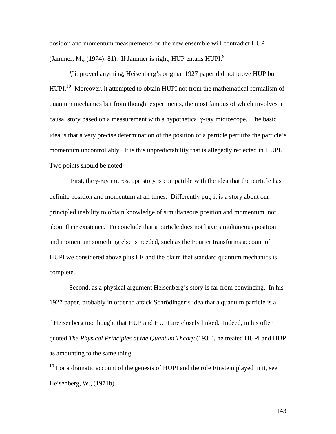position and momentum measurements on the new ensemble will contradict HUP (Jammer, M.,  $(1974)$ : 81). If Jammer is right, HUP entails HUPI.<sup>9</sup>

*If* it proved anything, Heisenberg's original 1927 paper did not prove HUP but HUPI.<sup>10</sup> Moreover, it attempted to obtain HUPI not from the mathematical formalism of quantum mechanics but from thought experiments, the most famous of which involves a causal story based on a measurement with a hypothetical  $\gamma$ -ray microscope. The basic idea is that a very precise determination of the position of a particle perturbs the particle's momentum uncontrollably. It is this unpredictability that is allegedly reflected in HUPI. Two points should be noted.

First, the  $\gamma$ -ray microscope story is compatible with the idea that the particle has definite position and momentum at all times. Differently put, it is a story about our principled inability to obtain knowledge of simultaneous position and momentum, not about their existence. To conclude that a particle does not have simultaneous position and momentum something else is needed, such as the Fourier transforms account of HUPI we considered above plus EE and the claim that standard quantum mechanics is complete.

Second, as a physical argument Heisenberg's story is far from convincing. In his 1927 paper, probably in order to attack Schrödinger's idea that a quantum particle is a

<sup>9</sup> Heisenberg too thought that HUP and HUPI are closely linked. Indeed, in his often quoted *The Physical Principles of the Quantum Theory* (1930), he treated HUPI and HUP as amounting to the same thing.

 $10$  For a dramatic account of the genesis of HUPI and the role Einstein played in it, see Heisenberg, W., (1971b).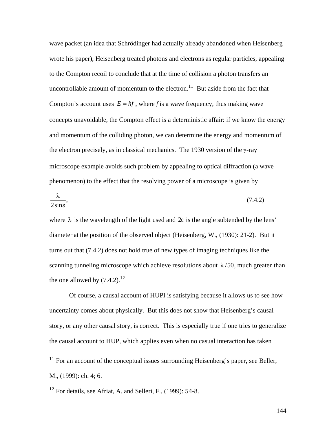wave packet (an idea that Schrödinger had actually already abandoned when Heisenberg wrote his paper), Heisenberg treated photons and electrons as regular particles, appealing to the Compton recoil to conclude that at the time of collision a photon transfers an uncontrollable amount of momentum to the electron.<sup>11</sup> But aside from the fact that Compton's account uses  $E = hf$ , where *f* is a wave frequency, thus making wave and momentum of the colliding photon, we can determine the energy and momentum of concepts unavoidable, the Compton effect is a deterministic affair: if we know the energy the electron precisely, as in classical mechanics. The 1930 version of the  $\gamma$ -ray microscope example avoids such problem by appealing to optical diffraction (a wave phenomenon) to the effect that the resolving power of a microscope is given by

$$
\frac{\lambda}{2\sin\epsilon},\tag{7.4.2}
$$

where  $\lambda$  is the wavelength of the light used and  $2\varepsilon$  is the angle subtended by the lens' turns out that (7.4.2) does not hold true of new types of imaging techniques like the diameter at the position of the observed object (Heisenberg, W., (1930): 21-2). But it scanning tunneling microscope which achieve resolutions about  $\lambda/50$ , much greater than the one allowed by  $(7.4.2).^{12}$ 

† Of course, a causal account of HUPI is satisfying because it allows us to see how uncertainty comes about physically. But this does not show that Heisenberg's causal story, or any other causal story, is correct. This is especially true if one tries to generalize the causal account to HUP, which applies even when no casual interaction has taken

 $\overline{a}$ 

 $11$  For an account of the conceptual issues surrounding Heisenberg's paper, see Beller, M., (1999): ch. 4; 6.

 $12$  For details, see Afriat, A. and Selleri, F., (1999): 54-8.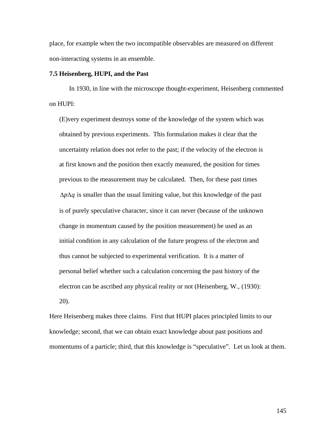place, for example when the two incompatible observables are measured on different non-interacting systems in an ensemble.

### **7.5 Heisenberg, HUPI, and the Past**

In 1930, in line with the microscope thought-experiment, Heisenberg commented on HUPI:

(E)very experiment destroys some of the knowledge of the system which was obtained by previous experiments. This formulation makes it clear that the uncertainty relation does not refer to the past; if the velocity of the electron is at first known and the position then exactly measured, the position for times previous to the measurement may be calculated. Then, for these past times  $\Delta p \Delta q$  is smaller than the usual limiting value, but this knowledge of the past is of purely speculative character, since it can never (because of the unknown change in momentum caused by the position measurement) be used as an initial condition in any calculation of the future progress of the electron and thus cannot be subjected to experimental verification. It is a matter of personal belief whether such a calculation concerning the past history of the electron can be ascribed any physical reality or not (Heisenberg, W., (1930): 20).

Here Heisenberg makes three claims. First that HUPI places principled limits to our knowledge; second, that we can obtain exact knowledge about past positions and momentums of a particle; third, that this knowledge is "speculative". Let us look at them.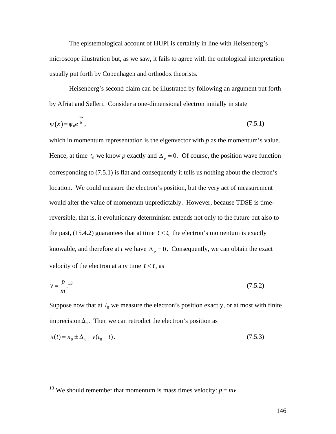The epistemological account of HUPI is certainly in line with Heisenberg's microscope illustration but, as we saw, it fails to agree with the ontological interpretation usually put forth by Copenhagen and orthodox theorists.

Heisenberg's second claim can be illustrated by following an argument put forth by Afriat and Selleri. Consider a one-dimensional electron initially in state

$$
\psi(x) = \psi_0 e^{\frac{ipx}{\hbar}},\tag{7.5.1}
$$

which in momentum representation is the eigenvector with *p* as the momentum's value. Hence, at time  $t_0$  we know *p* exactly and  $\Delta_p = 0$ . Of course, the position wave function location. We could measure the electron's position, but the very act of measurement corresponding to (7.5.1) is flat and consequently it tells us nothing about the electron's would alter the value of momentum unpredictably. However, because TDSE is timereversible, that is, it evolutionary determinism extends not only to the future but also to the past, (15.4.2) guarantees that at time  $t < t_0$  the electron's momentum is exactly velocity of the electron at any time  $t < t_0$  as knowable, and therefore at *t* we have  $\Delta_p = 0$ . Consequently, we can obtain the exact

$$
v = \frac{p}{m}.\tag{7.5.2}
$$

Suppose now that at  $t_0$  we measure the electron's position exactly, or at most with finite imprecision  $\Delta_x$ . Then we can retrodict the electron's position as

$$
x(t) = x_0 \pm \Delta_x - v(t_0 - t). \tag{7.5.3}
$$

 $\overline{a}$ 

<sup>&</sup>lt;sup>13</sup> We should remember that momentum is mass times velocity:  $p = mv$ .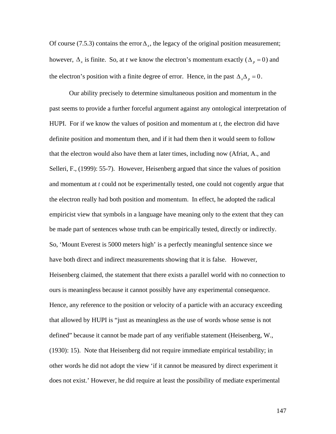Of course (7.5.3) contains the error  $\Delta_x$ , the legacy of the original position measurement; the electron's position with a finite degree of error. Hence, in the past  $\Delta_{x} \Delta_{p} = 0$ . however,  $\Delta_x$  is finite. So, at *t* we know the electron's momentum exactly ( $\Delta_p = 0$ ) and

 $\mathbf{r}$ past seems to provide a further forceful argument against any ontological interpretation of Our ability precisely to determine simultaneous position and momentum in the HUPI. For if we know the values of position and momentum at *t*, the electron did have definite position and momentum then, and if it had them then it would seem to follow that the electron would also have them at later times, including now (Afriat, A., and Selleri, F., (1999): 55-7). However, Heisenberg argued that since the values of position and momentum at *t* could not be experimentally tested, one could not cogently argue that the electron really had both position and momentum. In effect, he adopted the radical empiricist view that symbols in a language have meaning only to the extent that they can be made part of sentences whose truth can be empirically tested, directly or indirectly. So, 'Mount Everest is 5000 meters high' is a perfectly meaningful sentence since we have both direct and indirect measurements showing that it is false. However, Heisenberg claimed, the statement that there exists a parallel world with no connection to ours is meaningless because it cannot possibly have any experimental consequence. Hence, any reference to the position or velocity of a particle with an accuracy exceeding that allowed by HUPI is "just as meaningless as the use of words whose sense is not defined" because it cannot be made part of any verifiable statement (Heisenberg, W., (1930): 15). Note that Heisenberg did not require immediate empirical testability; in other words he did not adopt the view 'if it cannot be measured by direct experiment it does not exist.' However, he did require at least the possibility of mediate experimental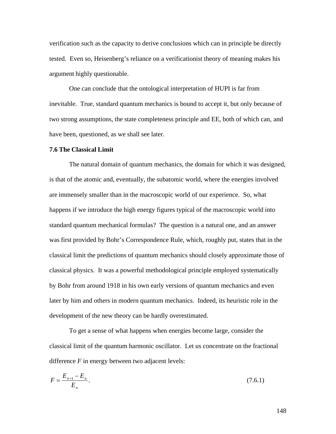verification such as the capacity to derive conclusions which can in principle be directly tested. Even so, Heisenberg's reliance on a verificationist theory of meaning makes his argument highly questionable.

One can conclude that the ontological interpretation of HUPI is far from inevitable. True, standard quantum mechanics is bound to accept it, but only because of two strong assumptions, the state completeness principle and EE, both of which can, and have been, questioned, as we shall see later.

#### **7.6 The Classical Limit**

The natural domain of quantum mechanics, the domain for which it was designed, is that of the atomic and, eventually, the subatomic world, where the energies involved are immensely smaller than in the macroscopic world of our experience. So, what happens if we introduce the high energy figures typical of the macroscopic world into standard quantum mechanical formulas? The question is a natural one, and an answer was first provided by Bohr's Correspondence Rule, which, roughly put, states that in the classical limit the predictions of quantum mechanics should closely approximate those of classical physics. It was a powerful methodological principle employed systematically by Bohr from around 1918 in his own early versions of quantum mechanics and even later by him and others in modern quantum mechanics. Indeed, its heuristic role in the development of the new theory can be hardly overestimated.

To get a sense of what happens when energies become large, consider the classical limit of the quantum harmonic oscillator. Let us concentrate on the fractional difference *F* in energy between two adjacent levels:

$$
F = \frac{E_{n+1} - E_n}{E_n}.
$$
\n(7.6.1)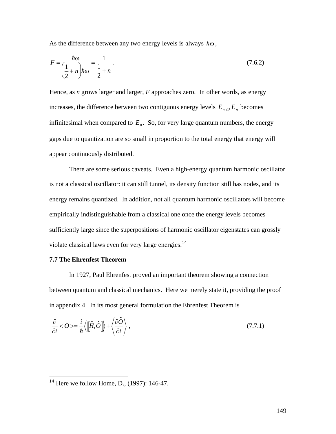As the difference between any two energy levels is always  $\hbar\omega$ ,

$$
F = \frac{\hbar \omega}{\left(\frac{1}{2} + n\right)\hbar \omega} = \frac{1}{\frac{1}{2} + n}.
$$
\n(7.6.2)

Hence, as *n* grows larger and larger,  $F$  approaches zero. In other words, as energy increases, the difference between two contiguous energy levels  $E_{n+1}$ ,  $E_n$  becomes infinitesimal when compared to  $E_n$ . So, for very large quantum numbers, the energy gaps due to quantization are so small in proportion to the total energy that energy will appear continuously distributed.

There are some serious caveats. Even a high-energy quantum harmonic oscillator is not a classical oscillator: it can still tunnel, its density function still has nodes, and its energy remains quantized. In addition, not all quantum harmonic oscillators will become empirically indistinguishable from a classical one once the energy levels becomes sufficiently large since the superpositions of harmonic oscillator eigenstates can grossly violate classical laws even for very large energies.<sup>14</sup>

# **7.7 The Ehrenfest Theorem**

In 1927, Paul Ehrenfest proved an important theorem showing a connection between quantum and classical mechanics. Here we merely state it, providing the proof in appendix 4. In its most general formulation the Ehrenfest Theorem is

$$
\frac{\partial}{\partial t} < O \rangle = \frac{i}{\hbar} \langle \left[ \hat{H}, \hat{O} \right] \rangle + \langle \frac{\partial \hat{O}}{\partial t} \rangle, \tag{7.7.1}
$$

 $\frac{14}{14}$  Here we follow Home, D., (1997): 146-47.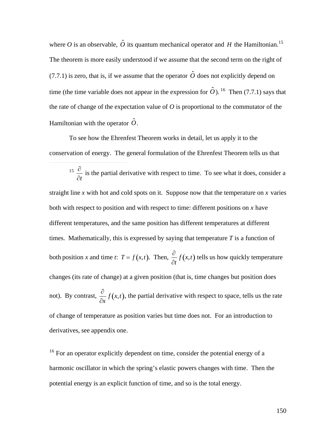where O is an observable,  $\hat{O}$  its quantum mechanical operator and H the Hamiltonian.<sup>15</sup>  $\hat{c}$  is if we assume that the spannton  $\hat{c}$  deep no The theorem is more easily understood if we assume that the second term on the right of (7.7.1) is zero, that is, if we assume that the operator  $\hat{O}$  does not explicitly depend on the rate of change of the expectation value of  $O$  is proportional to the commutator of the time (the time variable does not appear in the expression for  $\hat{O}$ ). <sup>16</sup> Then (7.7.1) says that Hamiltonian with the operator  $\hat{O}$ .

† conservation of energy. The general formulation of the Ehrenfest Theorem tells us that To see how the Ehrenfest Theorem works in detail, let us apply it to the

 $\overline{a}$ 

 $15\left[\frac{\partial}{\partial x}\right]$  is the n  $\partial t$ is the partial derivative with respect to time. To see what it does, consider a

both with respect to position and with respect to time: different positions on  $x$  have straight line  $x$  with hot and cold spots on it. Suppose now that the temperature on  $x$  varies different temperatures, and the same position has different temperatures at different times. Mathematically, this is expressed by saying that temperature  $T$  is a function of both position *x* and time *t*:  $T = f(x,t)$ . Then,  $\frac{\partial}{\partial x} f(x,t)$  t  $\partial$  $\frac{\partial}{\partial t} f(x,t)$  tells us how quickly temperature changes (its rate of change) at a given position (that is, time changes but position does not). By contrast,  $\frac{\partial}{\partial x} f(x,t)$ , derivatives, see appendix one.  $\frac{\partial}{\partial x} f(x,t)$ , the partial derivative with respect to space, tells us the rate of change of temperature as position varies but time does not. For an introduction to

<sup>16</sup> For an operator explicitly dependent on time, consider the potential energy of a harmonic oscillator in which the spring's elastic powers changes with time. Then the potential energy is an explicit function of time, and so is the total energy.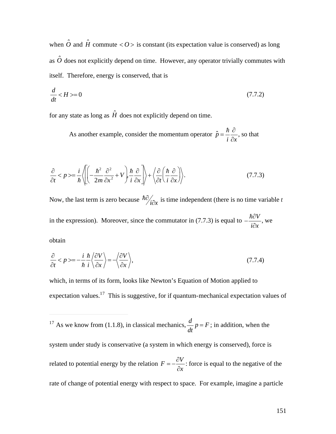when  $\hat{O}$  and  $\hat{H}$  commute  $\langle O \rangle$  is constant (its expectation value is conserved) as long as  $\hat{o}$  does not explicitly depend on time. However, any operator trivially commutes with itself. Therefore, energy is conserved, that is

$$
\frac{d}{dt} < H > = 0\tag{7.7.2}
$$

for any state as long as  $\hat{H}$  does not explicitly depend on time.

As another example, consider the momentum operator  $\hat{p} = \frac{\hbar}{\hat{p}} \frac{\partial}{\partial x}$ , so the  $i \partial x$ <sup>'</sup>  $\partial$ <sub>*ng that*</sub>  $\partial x$ <sup>*z*</sup> , so that

$$
\frac{\partial}{\partial t} < p \ge \frac{i}{\hbar} \left\langle \left[ \left( -\frac{\hbar^2}{2m} \frac{\partial^2}{\partial x^2} + V \right) \frac{\hbar}{i} \frac{\partial}{\partial x} \right] \right\rangle + \left\langle \frac{\partial}{\partial t} \left( \frac{\hbar}{i} \frac{\partial}{\partial x} \right) \right\rangle. \tag{7.7.3}
$$

Now, the last term is zero because  $\hbar \partial_{\hat{i}\partial x}$  is tin  $\hat{i}\partial x$  is time independent (there is no time variable *t* in the expression). Moreover, since the commutator in (7.7.3) is equal to  $-\frac{\hbar \partial V}{\partial \rho}$ , we  $i\partial x$ <sup> $\partial$ *x*  $\partial$ *x*  $\partial$ *x*  $\partial$ *x*  $\partial$ *x*  $\partial$ *x*  $\partial$ *x*  $\partial$ *x*  $\partial$ *x*  $\partial$ *x*  $\partial$ *x*  $\partial$ *x*  $\partial$ *x*  $\partial$ *x*  $\partial$ *x*  $\partial$ *x*  $\partial$ *x*  $\partial$ *x*  $\partial$ *x*  $\partial$ *x*  $\partial$ *x*  $\partial$ *x*  $\partial$ *x*  $\partial$ *x*  $\partial$ *x*  $\partial$ *x*  $\partial$ </sup> , we

obtain

 $\overline{a}$ 

$$
\frac{\partial}{\partial t} < p \ge -\frac{i}{\hbar} \frac{\hbar}{i} \left\langle \frac{\partial V}{\partial x} \right\rangle = -\left\langle \frac{\partial V}{\partial x} \right\rangle,\tag{7.7.4}
$$

which, in terms of its form, looks like Newton's Equation of Motion applied to expectation values.<sup>17</sup> This is suggestive, for if quantum-mechanical expectation values of

<sup>17</sup> As we know from (1.1.8), in classical mechanics,  $\frac{d}{dt}p = F$ ; in addition, when the

† 1958.<br>Decembris system under study is conservative (a system in which energy is conserved), force is related to potential energy by the relation  $F = -\frac{\partial V}{\partial x}$ : force is e *¶x* : force is equal to the negative of the rate of change of potential energy with respect to space. For example, imagine a particle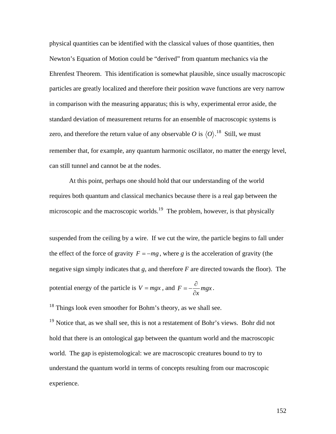physical quantities can be identified with the classical values of those quantities, then Newton's Equation of Motion could be "derived" from quantum mechanics via the Ehrenfest Theorem. This identification is somewhat plausible, since usually macroscopic particles are greatly localized and therefore their position wave functions are very narrow in comparison with the measuring apparatus; this is why, experimental error aside, the standard deviation of measurement returns for an ensemble of macroscopic systems is zero, and therefore the return value of any observable *O* is  $\langle O \rangle$ .<sup>18</sup> Still, we must remember that, for example, any quantum harmonic oscillator, no matter the energy level, can still tunnel and cannot be at the nodes.

At this point, perhaps one should hold that our understanding of the world requires both quantum and classical mechanics because there is a real gap between the microscopic and the macroscopic worlds.<sup>19</sup> The problem, however, is that physically

suspended from the ceiling by a wire. If we cut the wire, the particle begins to fall under the effect of the force of gravity  $F = -mg$ , where g is the acceleration of gravity (the negative sign simply indicates that *g*, and therefore *F* are directed towards the floor). The potential energy of the particle is  $V = mgx$ , and  $F = -\frac{\partial}{\partial} mgx$ .  $\partial x$   $\partial$ *mgx* .

<sup>18</sup> Things look even smoother for Bohm's theory, as we shall see.

 $\overline{a}$ 

<sup>19</sup> Notice that, as we shall see, this is not a restatement of Bohr's views. Bohr did not hold that there is an ontological gap between the quantum world and the macroscopic world. The gap is epistemological: we are macroscopic creatures bound to try to understand the quantum world in terms of concepts resulting from our macroscopic experience.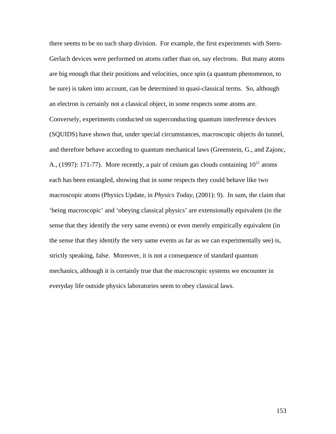there seems to be no such sharp division. For example, the first experiments with Stern-Gerlach devices were performed on atoms rather than on, say electrons. But many atoms are big enough that their positions and velocities, once spin (a quantum phenomenon, to be sure) is taken into account, can be determined in quasi-classical terms. So, although an electron is certainly not a classical object, in some respects some atoms are. Conversely, experiments conducted on superconducting quantum interference devices (SQUIDS) have shown that, under special circumstances, macroscopic objects do tunnel, and therefore behave according to quantum mechanical laws (Greenstein, G., and Zajonc, A., (1997): 171-77). More recently, a pair of cesium gas clouds containing  $10^{12}$  atoms macroscopic atoms (Physics Update, in *Physics Today*, (2001): 9). In sum, the claim that each has been entangled, showing that in some respects they could behave like two 'being macroscopic' and 'obeying classical physics' are extensionally equivalent (in the sense that they identify the very same events) or even merely empirically equivalent (in the sense that they identify the very same events as far as we can experimentally see) is, strictly speaking, false. Moreover, it is not a consequence of standard quantum mechanics, although it is certainly true that the macroscopic systems we encounter in everyday life outside physics laboratories seem to obey classical laws.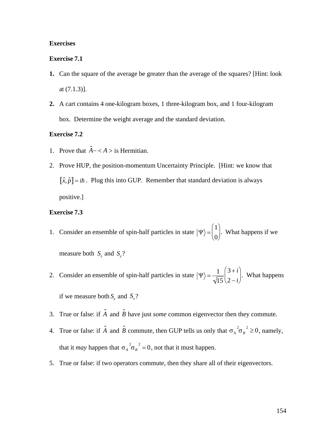### **Exercises**

#### **Exercise 7.1**

- **1.** Can the square of the average be greater than the average of the squares? [Hint: look at (7.1.3)].
- **2.** A cart contains 4 one-kilogram boxes, 1 three-kilogram box, and 1 four-kilogram box. Determine the weight average and the standard deviation.

### **Exercise 7.2**

- 1. Prove that  $\hat{A} \langle A \rangle$  is Hermitian.
- $\hat{r}$   $\hat{n}$ ] 2. Prove HUP, the position-momentum Uncertainty Principle. [Hint: we know that  $[\hat{x}, \hat{p}] = i\hbar$ . Plug this into GUP. Remember that standard deviation is always positive.]

### **Exercise 7.3**

- 1. Consider an ensemble of spin-half particles in state  $|\Psi\rangle = \int_{0}^{\infty}$ . What  $1\vert$  wn  $\vert$  $0)$  and  $0$  $\begin{pmatrix} 1 \\ 0 \end{pmatrix}$ . What happens if we measure both  $S_z$  and  $S_y$ ?
- 2. Consider an ensemble of spin-half particles in state  $|\Psi\rangle = \frac{1}{\sqrt{1-\epsilon}} \begin{bmatrix} 3+i \\ 2, 1 \end{bmatrix}$ .  $15(2-i)$  $3+i$   $\frac{1}{2}$  $2-i$  $\begin{pmatrix} 3+i \\ 2-i \end{pmatrix}$ . What happens if we measure both  $S_z$  and  $S_x$ ?
- 3. True or false: if  $\hat{A}$  and  $\hat{B}$  have just *some* common eigenvector then they commute.
- 4. True or false: if  $\hat{A}$  and  $\hat{B}$  commute, then GUP tells us only that  $\sigma_A^2 \sigma_B^2 \ge 0$ , namely, that it *may* happen that  $\sigma_A^2 \sigma_B^2 = 0$ , not that it must happen.
- 5. True or false: if two operators commute, then they share all of their eigenvectors.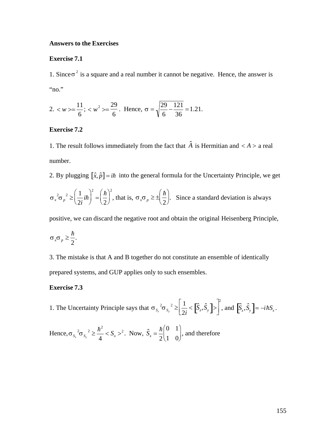### **Answers to the Exercises**

### **Exercise 7.1**

1. Since  $\sigma^2$  is a square and a real number it cannot be negative. Hence, the answer is "no."

2. 
$$
\langle w \rangle = \frac{11}{6}
$$
;  $\langle w^2 \rangle = \frac{29}{6}$ . Hence,  $\sigma = \sqrt{\frac{29}{6} - \frac{121}{36}} = 1.21$ .

# **Exercise 7.2**

1. The result follows immediately from the fact that  $\hat{A}$  is Hermitian and  $\langle A \rangle$  a real number.

2. By plugging  $[\hat{x}, \hat{p}] = i\hbar$  into the general formula for the Uncertainty Principle, we get

$$
\sigma_x^2 \sigma_p^2 \ge \left(\frac{1}{2i}i\hbar\right)^2 = \left(\frac{\hbar}{2}\right)^2
$$
, that is,  $\sigma_x \sigma_p \ge \pm \left(\frac{\hbar}{2}\right)$ . Since a standard deviation is always

positive, we can discard the negative root and obtain the original Heisenberg Principle,

$$
\sigma_x \sigma_p \geq \frac{\hbar}{2}.
$$

3. The mistake is that A and B together do not constitute an ensemble of identically prepared systems, and GUP applies only to such ensembles.

# **Exercise 7.3**

1. The Uncertainty Principle says that  $\sigma_{s_z}^2 \sigma_{s_y}^2 \ge \left[\frac{1}{2i} \langle \hat{S}_z, \hat{S}_y \rangle \right] \ge \left[\hat{S}_z, \hat{S}_y \right] = -i\hbar S_x$ .

Hence,  $\sigma_{s_x}^2 \sigma_{s_y}^2 \ge \frac{\hbar^2}{4} < S_x >^2$ . Now,  $\hat{S}_x = \frac{\hbar}{2} \begin{pmatrix} 0 & 1 \\ 1 & 0 \end{pmatrix}$ , and therefore